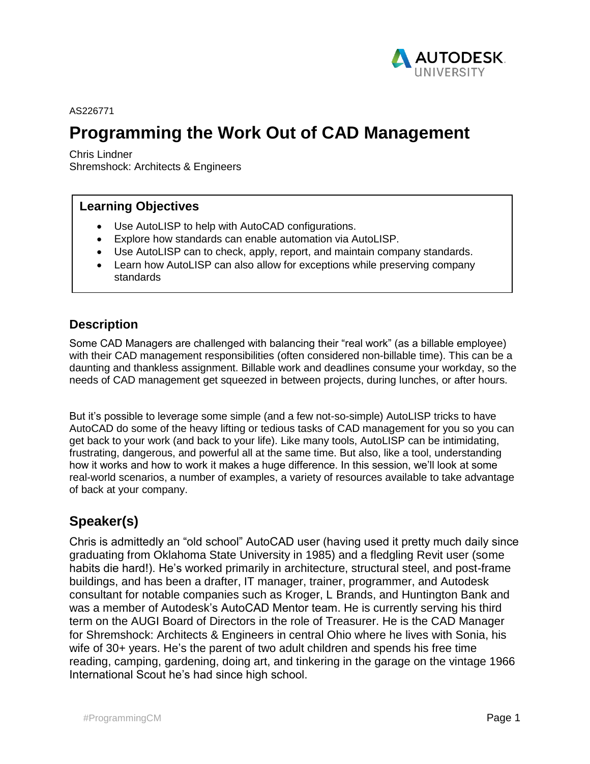

AS226771

# **Programming the Work Out of CAD Management**

Chris Lindner Shremshock: Architects & Engineers

### **Learning Objectives**

- Use AutoLISP to help with AutoCAD configurations.
- Explore how standards can enable automation via AutoLISP.
- Use AutoLISP can to check, apply, report, and maintain company standards.
- Learn how AutoLISP can also allow for exceptions while preserving company standards

### **Description**

Some CAD Managers are challenged with balancing their "real work" (as a billable employee) with their CAD management responsibilities (often considered non-billable time). This can be a daunting and thankless assignment. Billable work and deadlines consume your workday, so the needs of CAD management get squeezed in between projects, during lunches, or after hours.

But it's possible to leverage some simple (and a few not-so-simple) AutoLISP tricks to have AutoCAD do some of the heavy lifting or tedious tasks of CAD management for you so you can get back to your work (and back to your life). Like many tools, AutoLISP can be intimidating, frustrating, dangerous, and powerful all at the same time. But also, like a tool, understanding how it works and how to work it makes a huge difference. In this session, we'll look at some real-world scenarios, a number of examples, a variety of resources available to take advantage of back at your company.

## **Speaker(s)**

Chris is admittedly an "old school" AutoCAD user (having used it pretty much daily since graduating from Oklahoma State University in 1985) and a fledgling Revit user (some habits die hard!). He's worked primarily in architecture, structural steel, and post-frame buildings, and has been a drafter, IT manager, trainer, programmer, and Autodesk consultant for notable companies such as Kroger, L Brands, and Huntington Bank and was a member of Autodesk's AutoCAD Mentor team. He is currently serving his third term on the AUGI Board of Directors in the role of Treasurer. He is the CAD Manager for Shremshock: Architects & Engineers in central Ohio where he lives with Sonia, his wife of 30+ years. He's the parent of two adult children and spends his free time reading, camping, gardening, doing art, and tinkering in the garage on the vintage 1966 International Scout he's had since high school.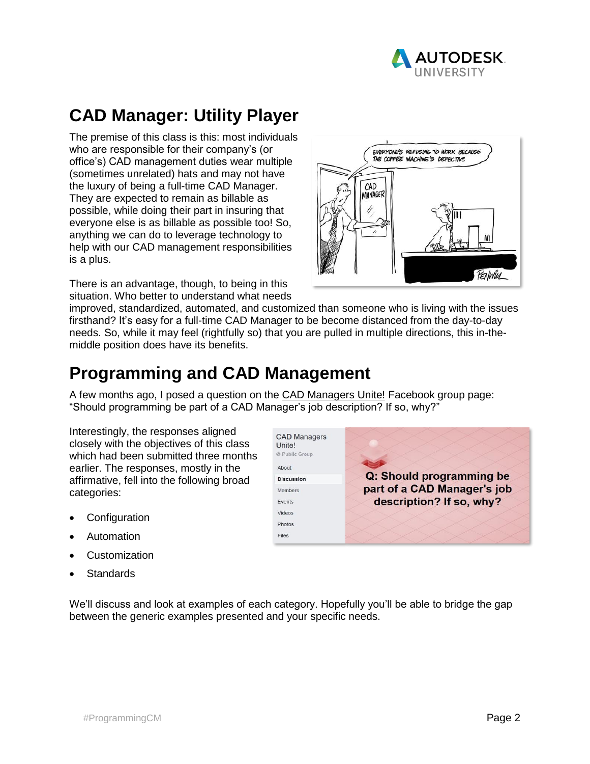

# **CAD Manager: Utility Player**

The premise of this class is this: most individuals who are responsible for their company's (or office's) CAD management duties wear multiple (sometimes unrelated) hats and may not have the luxury of being a full-time CAD Manager. They are expected to remain as billable as possible, while doing their part in insuring that everyone else is as billable as possible too! So, anything we can do to leverage technology to help with our CAD management responsibilities is a plus.

There is an advantage, though, to being in this situation. Who better to understand what needs



improved, standardized, automated, and customized than someone who is living with the issues firsthand? It's easy for a full-time CAD Manager to be become distanced from the day-to-day needs. So, while it may feel (rightfully so) that you are pulled in multiple directions, this in-themiddle position does have its benefits.

# **Programming and CAD Management**

A few months ago, I posed a question on the CAD Managers Unite! Facebook group page: "Should programming be part of a CAD Manager's job description? If so, why?"

Interestingly, the responses aligned closely with the objectives of this class which had been submitted three months earlier. The responses, mostly in the affirmative, fell into the following broad categories:

- **Configuration**
- Automation
- **Customization**
- **Standards**

**CAD Managers** Unite! @ Public Group About Q: Should programming be **Discussion** part of a CAD Manager's job Members description? If so, why? Events Videos Photos Files

We'll discuss and look at examples of each category. Hopefully you'll be able to bridge the gap between the generic examples presented and your specific needs.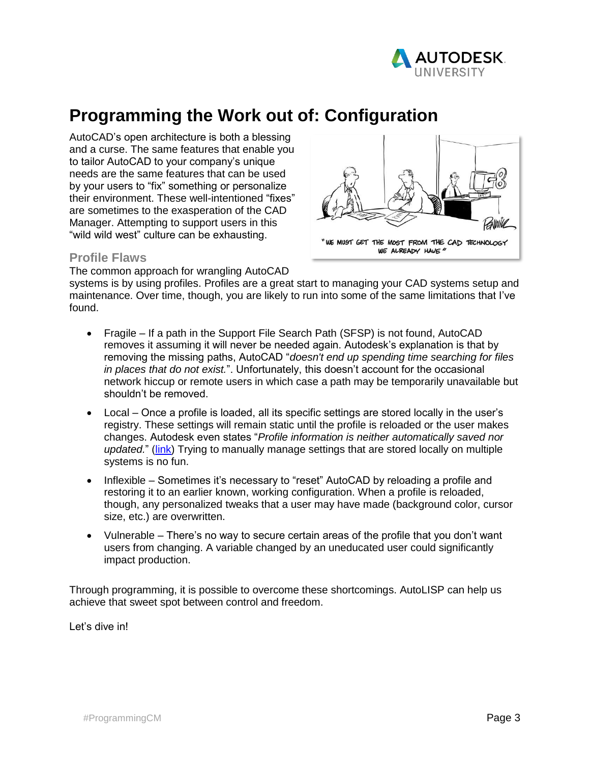

# **Programming the Work out of: Configuration**

AutoCAD's open architecture is both a blessing and a curse. The same features that enable you to tailor AutoCAD to your company's unique needs are the same features that can be used by your users to "fix" something or personalize their environment. These well-intentioned "fixes" are sometimes to the exasperation of the CAD Manager. Attempting to support users in this "wild wild west" culture can be exhausting.



#### **Profile Flaws**

The common approach for wrangling AutoCAD

systems is by using profiles. Profiles are a great start to managing your CAD systems setup and maintenance. Over time, though, you are likely to run into some of the same limitations that I've found.

- Fragile If a path in the Support File Search Path (SFSP) is not found, AutoCAD removes it assuming it will never be needed again. Autodesk's explanation is that by removing the missing paths, AutoCAD "*doesn't end up spending time searching for files in places that do not exist.*". Unfortunately, this doesn't account for the occasional network hiccup or remote users in which case a path may be temporarily unavailable but shouldn't be removed.
- Local Once a profile is loaded, all its specific settings are stored locally in the user's registry. These settings will remain static until the profile is reloaded or the user makes changes. Autodesk even states "*Profile information is neither automatically saved nor updated.*" [\(link\)](https://knowledge.autodesk.com/support/autocad/learn-explore/caas/sfdcarticles/sfdcarticles/Profile-management.html) Trying to manually manage settings that are stored locally on multiple systems is no fun.
- Inflexible Sometimes it's necessary to "reset" AutoCAD by reloading a profile and restoring it to an earlier known, working configuration. When a profile is reloaded, though, any personalized tweaks that a user may have made (background color, cursor size, etc.) are overwritten.
- Vulnerable There's no way to secure certain areas of the profile that you don't want users from changing. A variable changed by an uneducated user could significantly impact production.

Through programming, it is possible to overcome these shortcomings. AutoLISP can help us achieve that sweet spot between control and freedom.

Let's dive in!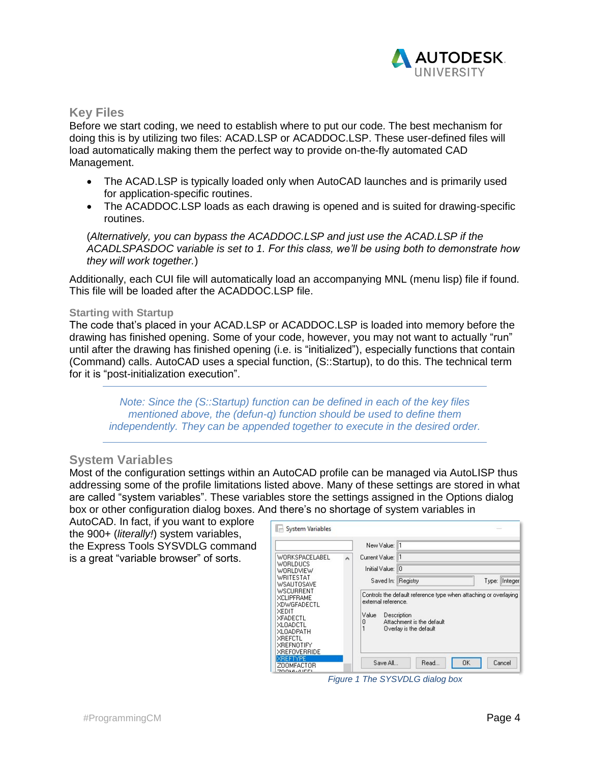

### **Key Files**

Before we start coding, we need to establish where to put our code. The best mechanism for doing this is by utilizing two files: ACAD.LSP or ACADDOC.LSP. These user-defined files will load automatically making them the perfect way to provide on-the-fly automated CAD Management.

- The ACAD.LSP is typically loaded only when AutoCAD launches and is primarily used for application-specific routines.
- The ACADDOC.LSP loads as each drawing is opened and is suited for drawing-specific routines.

(*Alternatively, you can bypass the ACADDOC.LSP and just use the ACAD.LSP if the ACADLSPASDOC variable is set to 1. For this class, we'll be using both to demonstrate how they will work together.*)

Additionally, each CUI file will automatically load an accompanying MNL (menu lisp) file if found. This file will be loaded after the ACADDOC.LSP file.

#### **Starting with Startup**

The code that's placed in your ACAD.LSP or ACADDOC.LSP is loaded into memory before the drawing has finished opening. Some of your code, however, you may not want to actually "run" until after the drawing has finished opening (i.e. is "initialized"), especially functions that contain (Command) calls. AutoCAD uses a special function, (S::Startup), to do this. The technical term for it is "post-initialization execution".

*Note: Since the (S::Startup) function can be defined in each of the key files mentioned above, the (defun-q) function should be used to define them independently. They can be appended together to execute in the desired order.*

#### **System Variables**

Most of the configuration settings within an AutoCAD profile can be managed via AutoLISP thus addressing some of the profile limitations listed above. Many of these settings are stored in what are called "system variables". These variables store the settings assigned in the Options dialog box or other configuration dialog boxes. And there's no shortage of system variables in

AutoCAD. In fact, if you want to explore the 900+ (*literally!*) system variables, the Express Tools SYSVDLG command is a great "variable browser" of sorts.

| WORKSPACELABEL<br>WORLDUCS<br>WORLDVIEW<br>WRITESTAT<br>WSALITOSAVE<br>WSCURRENT<br><b>XCLIPFRAME</b><br><b>XDWGFADECTL</b><br>XEDIT<br>XFADECTL<br><b>XLOADCTL</b><br><b>XLOADPATH</b><br><b>XREFCTL</b><br><b>XREFNOTIFY</b><br><b>XREFOVERRIDE</b><br><b>XREFTYPE</b> | $\overline{\phantom{a}}$ | New Value: 1<br>Current Value: 11<br>Initial Value: 10<br>Saved In: Registry<br>Type:  Integer<br>Controls the default reference type when attaching or overlaying<br>external reference.<br>Description<br>Value<br>Attachment is the default<br>0<br>Overlay is the default |
|--------------------------------------------------------------------------------------------------------------------------------------------------------------------------------------------------------------------------------------------------------------------------|--------------------------|-------------------------------------------------------------------------------------------------------------------------------------------------------------------------------------------------------------------------------------------------------------------------------|
|--------------------------------------------------------------------------------------------------------------------------------------------------------------------------------------------------------------------------------------------------------------------------|--------------------------|-------------------------------------------------------------------------------------------------------------------------------------------------------------------------------------------------------------------------------------------------------------------------------|

*Figure 1 The SYSVDLG dialog box*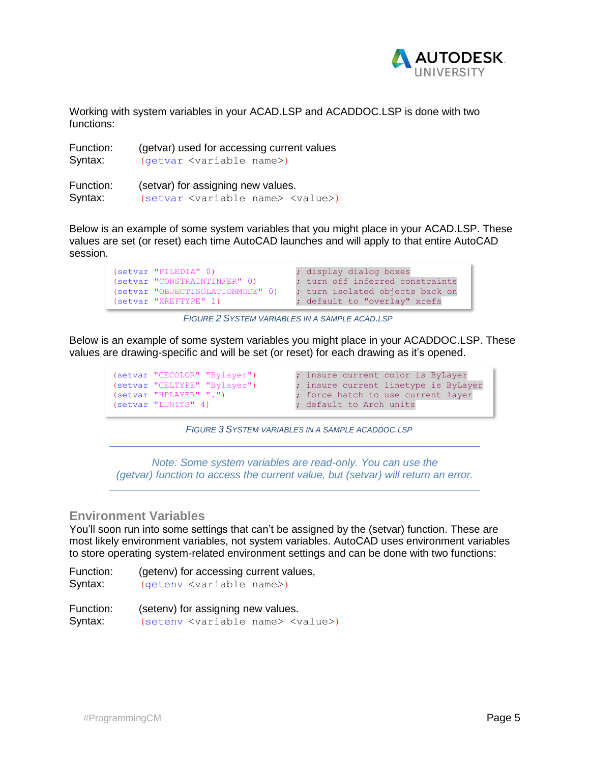

Working with system variables in your ACAD.LSP and ACADDOC.LSP is done with two functions:

| Function: | (getvar) used for accessing current values             |
|-----------|--------------------------------------------------------|
| Syntax:   | (getvar <variable name="">)</variable>                 |
| Function: | (setvar) for assigning new values.                     |
| Syntax:   | (setvar <variable name=""> <value>)</value></variable> |

Below is an example of some system variables that you might place in your ACAD.LSP. These values are set (or reset) each time AutoCAD launches and will apply to that entire AutoCAD session.

```
(setvar "FILEDIA" 0) (setvar "FILEDIA" 0) (setvar in the contract of the contract of the contract of the contract of the contract of the contract of the contract of the contract of the contract of the contract of the contr
(setvar "CONSTRAINTINFER" 0) ; turn off inferred constraints
(setvar "OBJECTISOLATIONMODE" 0) ; turn isolated objects back on
(setvar "XREFTYPE" 1) ; default to "overlay" xrefs
```
*FIGURE 2 SYSTEM VARIABLES IN A SAMPLE ACAD.LSP*

Below is an example of some system variables you might place in your ACADDOC.LSP. These values are drawing-specific and will be set (or reset) for each drawing as it's opened.

```
(setvar "LUNITS" 4) (setvar in the set of the Units
```

```
(setvar "CECOLOR" "Bylayer") ; insure current color is ByLayer
(setvar "CELTYPE" "Bylayer") ; insure current linetype is ByLayer
(setvar "HPLAYER" ".") ; force hatch to use current layer
```
*FIGURE 3 SYSTEM VARIABLES IN A SAMPLE ACADDOC.LSP*

*Note: Some system variables are read-only. You can use the (getvar) function to access the current value, but (setvar) will return an error.*

### **Environment Variables**

You'll soon run into some settings that can't be assigned by the (setvar) function. These are most likely environment variables, not system variables. AutoCAD uses environment variables to store operating system-related environment settings and can be done with two functions:

Function: (getenv) for accessing current values, Syntax: (getenv <variable name>)

Function: (setenv) for assigning new values. Syntax: (seteny <variable name> <value>)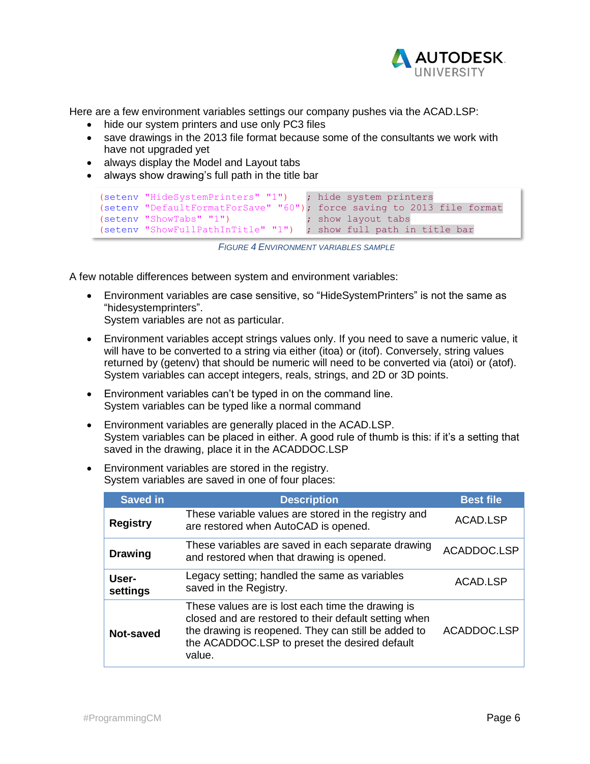

Here are a few environment variables settings our company pushes via the ACAD.LSP:

- hide our system printers and use only PC3 files
- save drawings in the 2013 file format because some of the consultants we work with have not upgraded yet
- always display the Model and Layout tabs
- always show drawing's full path in the title bar

```
(setenv "HideSystemPrinters" "1") ; hide system printers
(setenv "DefaultFormatForSave" "60"); force saving to 2013 file format
(setenv "ShowTabs" "1") ; show layout tabs
(setenv "ShowFullPathInTitle" "1") ; show full path in title bar
```
*FIGURE 4 ENVIRONMENT VARIABLES SAMPLE*

A few notable differences between system and environment variables:

• Environment variables are case sensitive, so "HideSystemPrinters" is not the same as "hidesystemprinters".

System variables are not as particular.

- Environment variables accept strings values only. If you need to save a numeric value, it will have to be converted to a string via either (itoa) or (itof). Conversely, string values returned by (getenv) that should be numeric will need to be converted via (atoi) or (atof). System variables can accept integers, reals, strings, and 2D or 3D points.
- Environment variables can't be typed in on the command line. System variables can be typed like a normal command
- Environment variables are generally placed in the ACAD.LSP. System variables can be placed in either. A good rule of thumb is this: if it's a setting that saved in the drawing, place it in the ACADDOC.LSP
- Environment variables are stored in the registry. System variables are saved in one of four places:

| <b>Saved in</b>   | <b>Description</b>                                                                                                                                                                                                           | <b>Best file</b> |
|-------------------|------------------------------------------------------------------------------------------------------------------------------------------------------------------------------------------------------------------------------|------------------|
| <b>Registry</b>   | These variable values are stored in the registry and<br>are restored when AutoCAD is opened.                                                                                                                                 | ACAD.LSP         |
| <b>Drawing</b>    | These variables are saved in each separate drawing<br>and restored when that drawing is opened.                                                                                                                              | ACADDOC.LSP      |
| User-<br>settings | Legacy setting; handled the same as variables<br>saved in the Registry.                                                                                                                                                      | ACAD.LSP         |
| Not-saved         | These values are is lost each time the drawing is<br>closed and are restored to their default setting when<br>the drawing is reopened. They can still be added to<br>the ACADDOC.LSP to preset the desired default<br>value. | ACADDOC.LSP      |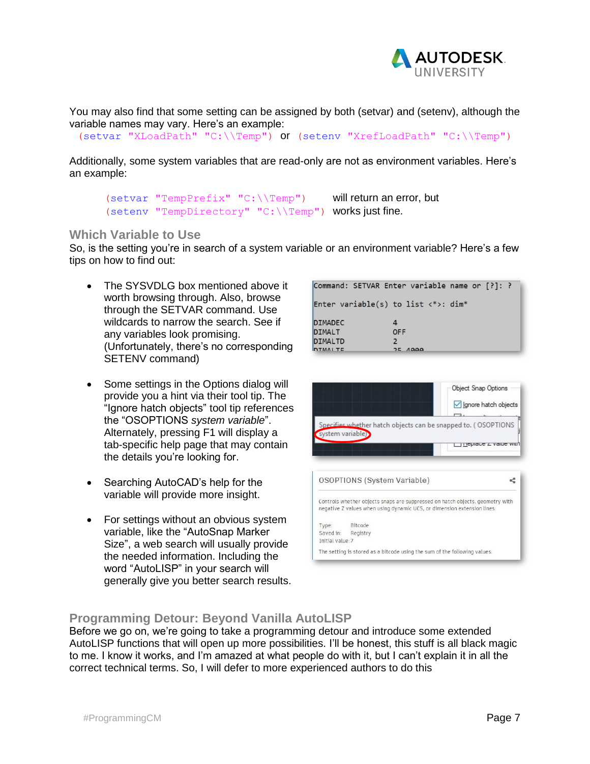

You may also find that some setting can be assigned by both (setvar) and (setenv), although the variable names may vary. Here's an example:

```
(setvar "XLoadPath" "C:\\Temp") or (setenv "XrefLoadPath" "C:\\Temp")
```
Additionally, some system variables that are read-only are not as environment variables. Here's an example:

```
(setvar "TempPrefix" "C:\\Temp") will return an error, but
(setenv "TempDirectory" "C:\\Temp") works just fine.
```
### **Which Variable to Use**

So, is the setting you're in search of a system variable or an environment variable? Here's a few tips on how to find out:

- The SYSVDLG box mentioned above it worth browsing through. Also, browse through the SETVAR command. Use wildcards to narrow the search. See if any variables look promising. (Unfortunately, there's no corresponding SETENV command)
- Some settings in the Options dialog will provide you a hint via their tool tip. The "Ignore hatch objects" tool tip references the "OSOPTIONS *system variable*". Alternately, pressing F1 will display a tab-specific help page that may contain the details you're looking for.
- Searching AutoCAD's help for the variable will provide more insight.
- For settings without an obvious system variable, like the "AutoSnap Marker Size", a web search will usually provide the needed information. Including the word "AutoLISP" in your search will generally give you better search results.

|                | Command: SETVAR Enter variable name or [?]: ?        |  |  |
|----------------|------------------------------------------------------|--|--|
|                | Enter variable(s) to list $\langle * \rangle$ : dim* |  |  |
| <b>DIMADEC</b> |                                                      |  |  |
| <b>DIMALT</b>  | <b>OFF</b>                                           |  |  |
| <b>DIMALTD</b> |                                                      |  |  |
| <b>DTMALTE</b> | 25,4999                                              |  |  |



### **Programming Detour: Beyond Vanilla AutoLISP**

Before we go on, we're going to take a programming detour and introduce some extended AutoLISP functions that will open up more possibilities. I'll be honest, this stuff is all black magic to me. I know it works, and I'm amazed at what people do with it, but I can't explain it in all the correct technical terms. So, I will defer to more experienced authors to do this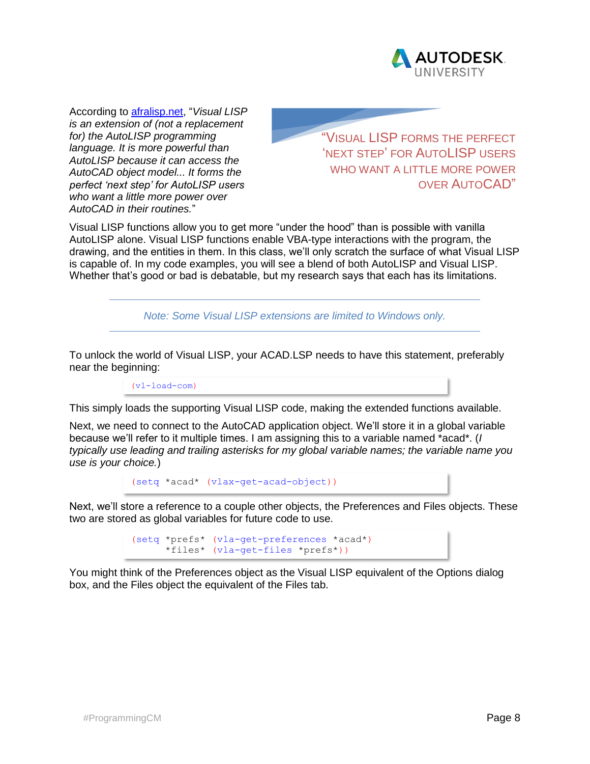

According to [afralisp.net,](file:///E:/_AU.2%20-%20Programming%20CAD%20Mgmt/afralisp.net) "*Visual LISP is an extension of (not a replacement for) the AutoLISP programming language. It is more powerful than AutoLISP because it can access the AutoCAD object model... It forms the perfect 'next step' for AutoLISP users who want a little more power over AutoCAD in their routines.*"

"VISUAL LISP FORMS THE PERFECT 'NEXT STEP' FOR AUTOLISP USERS WHO WANT A LITTLE MORE POWER OVER AUTOCAD"

Visual LISP functions allow you to get more "under the hood" than is possible with vanilla AutoLISP alone. Visual LISP functions enable VBA-type interactions with the program, the drawing, and the entities in them. In this class, we'll only scratch the surface of what Visual LISP is capable of. In my code examples, you will see a blend of both AutoLISP and Visual LISP. Whether that's good or bad is debatable, but my research says that each has its limitations.

*Note: Some Visual LISP extensions are limited to Windows only.*

To unlock the world of Visual LISP, your ACAD.LSP needs to have this statement, preferably near the beginning:

 $(v1-1$ oad-com)

This simply loads the supporting Visual LISP code, making the extended functions available.

Next, we need to connect to the AutoCAD application object. We'll store it in a global variable because we'll refer to it multiple times. I am assigning this to a variable named \*acad\*. (*I typically use leading and trailing asterisks for my global variable names; the variable name you use is your choice.*)

```
(setq *acad* (vlax-get-acad-object))
```
Next, we'll store a reference to a couple other objects, the Preferences and Files objects. These two are stored as global variables for future code to use.

> (setq \*prefs\* (vla-get-preferences \*acad\*) \*files\* (vla-get-files \*prefs\*))

You might think of the Preferences object as the Visual LISP equivalent of the Options dialog box, and the Files object the equivalent of the Files tab.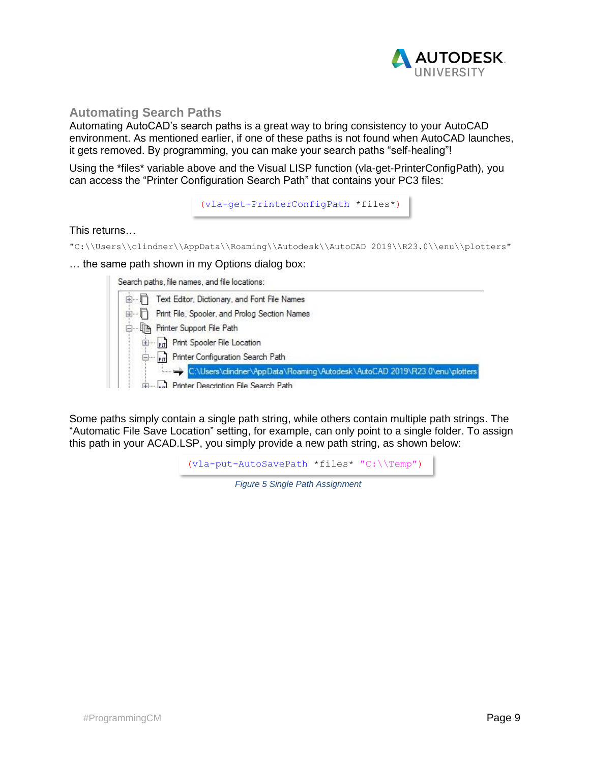

### **Automating Search Paths**

Automating AutoCAD's search paths is a great way to bring consistency to your AutoCAD environment. As mentioned earlier, if one of these paths is not found when AutoCAD launches, it gets removed. By programming, you can make your search paths "self-healing"!

Using the \*files\* variable above and the Visual LISP function (vla-get-PrinterConfigPath), you can access the "Printer Configuration Search Path" that contains your PC3 files:

```
(vla-get-PrinterConfigPath *files*)
```
#### This returns…

"C:\\Users\\clindner\\AppData\\Roaming\\Autodesk\\AutoCAD 2019\\R23.0\\enu\\plotters"

… the same path shown in my Options dialog box:

Search paths, file names, and file locations:

|                | DA DE MONATO EN MOTOR EN LA MONATO DE LA CONTRADO DE TRADA EL DOMINIO DE LA CALIFATA EL LOS DE LA CALIFATA EL |
|----------------|---------------------------------------------------------------------------------------------------------------|
| $\blacksquare$ | Text Editor, Dictionary, and Font File Names                                                                  |
| <b>面目</b>      | Print File, Spooler, and Prolog Section Names                                                                 |
|                | <b>Do The Printer Support File Path</b>                                                                       |
|                | Print Spooler File Location                                                                                   |
|                | Printer Configuration Search Path                                                                             |
|                | C:\Users\clindner\AppData\Roaming\Autodesk\AutoCAD 2019\R23.0\enu\plotters                                    |
|                | Figure 1. Printer Description File Search Path                                                                |

Some paths simply contain a single path string, while others contain multiple path strings. The "Automatic File Save Location" setting, for example, can only point to a single folder. To assign this path in your ACAD.LSP, you simply provide a new path string, as shown below:

(vla-put-AutoSavePath \*files\* "C:\\Temp")

*Figure 5 Single Path Assignment*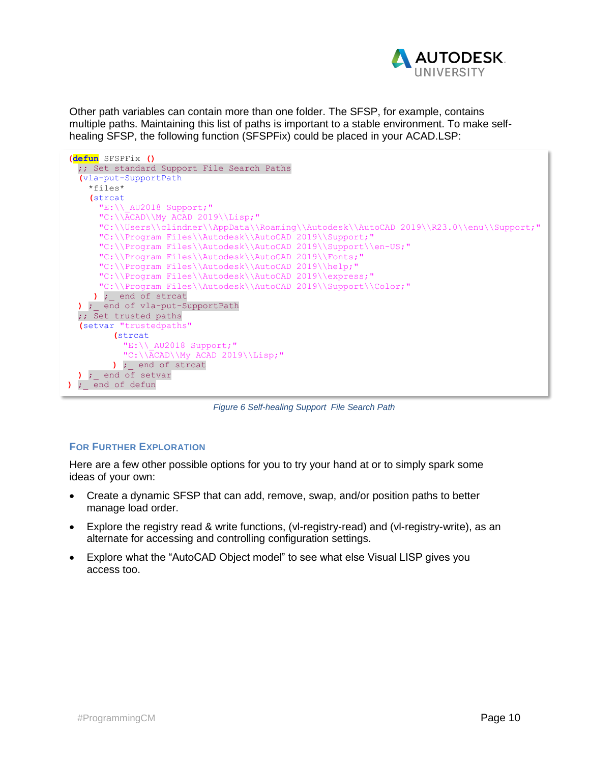

Other path variables can contain more than one folder. The SFSP, for example, contains multiple paths. Maintaining this list of paths is important to a stable environment. To make selfhealing SFSP, the following function (SFSPFix) could be placed in your ACAD.LSP:



*Figure 6 Self-healing Support File Search Path*

#### **FOR FURTHER EXPLORATION**

Here are a few other possible options for you to try your hand at or to simply spark some ideas of your own:

- Create a dynamic SFSP that can add, remove, swap, and/or position paths to better manage load order.
- Explore the registry read & write functions, (vl-registry-read) and (vl-registry-write), as an alternate for accessing and controlling configuration settings.
- Explore what the "AutoCAD Object model" to see what else Visual LISP gives you access too.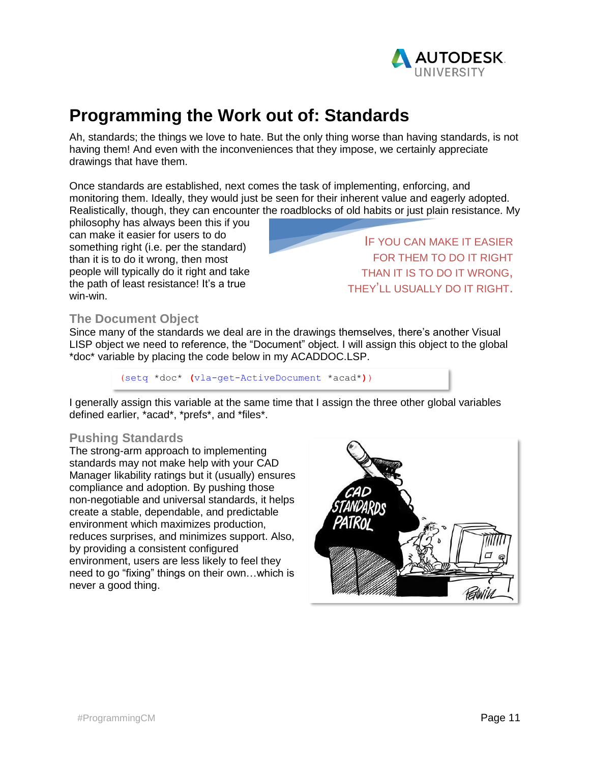

# **Programming the Work out of: Standards**

Ah, standards; the things we love to hate. But the only thing worse than having standards, is not having them! And even with the inconveniences that they impose, we certainly appreciate drawings that have them.

Once standards are established, next comes the task of implementing, enforcing, and monitoring them. Ideally, they would just be seen for their inherent value and eagerly adopted. Realistically, though, they can encounter the roadblocks of old habits or just plain resistance. My

philosophy has always been this if you can make it easier for users to do something right (i.e. per the standard) than it is to do it wrong, then most people will typically do it right and take the path of least resistance! It's a true win-win.

IF YOU CAN MAKE IT EASIER FOR THEM TO DO IT RIGHT THAN IT IS TO DO IT WRONG, THEY'LL USUALLY DO IT RIGHT.

### **The Document Object**

Since many of the standards we deal are in the drawings themselves, there's another Visual LISP object we need to reference, the "Document" object. I will assign this object to the global \*doc\* variable by placing the code below in my ACADDOC.LSP.

(setq \*doc\* **(**vla-get-ActiveDocument \*acad\***)**)

I generally assign this variable at the same time that I assign the three other global variables defined earlier, \*acad\*, \*prefs\*, and \*files\*.

### **Pushing Standards**

The strong-arm approach to implementing standards may not make help with your CAD Manager likability ratings but it (usually) ensures compliance and adoption. By pushing those non-negotiable and universal standards, it helps create a stable, dependable, and predictable environment which maximizes production, reduces surprises, and minimizes support. Also, by providing a consistent configured environment, users are less likely to feel they need to go "fixing" things on their own…which is never a good thing.

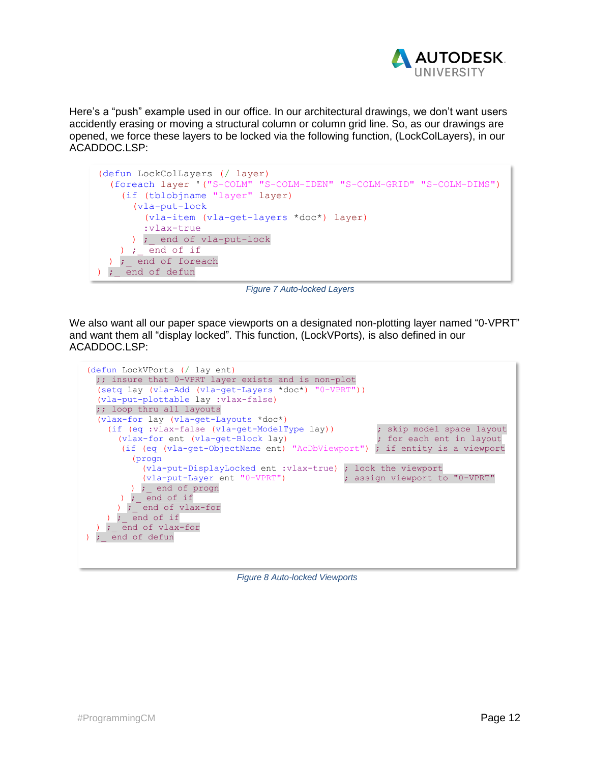

Here's a "push" example used in our office. In our architectural drawings, we don't want users accidently erasing or moving a structural column or column grid line. So, as our drawings are opened, we force these layers to be locked via the following function, (LockColLayers), in our ACADDOC.LSP:

```
(defun LockColLayers (/ layer)
   (foreach layer '("S-COLM" "S-COLM-IDEN" "S-COLM-GRID" "S-COLM-DIMS")
     (if (tblobjname "layer" layer)
       (vla-put-lock
         (vla-item (vla-get-layers *doc*) layer)
         :vlax-true
      ) ; end of vla-put-lock
    ) ; end of if
  ) ; end of foreach
) ; end of defun
```
*Figure 7 Auto-locked Layers*

We also want all our paper space viewports on a designated non-plotting layer named "0-VPRT" and want them all "display locked". This function, (LockVPorts), is also defined in our ACADDOC.LSP:

```
(defun LockVPorts (/ lay ent)
  ;; insure that 0-VPRT layer exists and is non-plot
  (setq lay (vla-Add (vla-get-Layers *doc*) "0-VPRT"))
  (vla-put-plottable lay :vlax-false)
  ;; loop thru all layouts
  (vlax-for lay (vla-get-Layouts *doc*)
    (if (eq :vlax-false (vla-get-ModelType lay)) ; skip model space layout
      (vlax-for ent (vla-get-Block lay) ; for each ent in layout
      (if (eq (vla-get-ObjectName ent) "AcDbViewport") ; if entity is a viewport
         (progn
           (vla-put-DisplayLocked ent :vlax-true) ; lock the viewport
          (vla-put-Layer ent "0-VPRT")
         ) ;_ end of progn
      ) ; end of if
) ; end of vlax-for
   ) ; end of if
 ) ; end of vlax-for
) ; end of defun
```
*Figure 8 Auto-locked Viewports*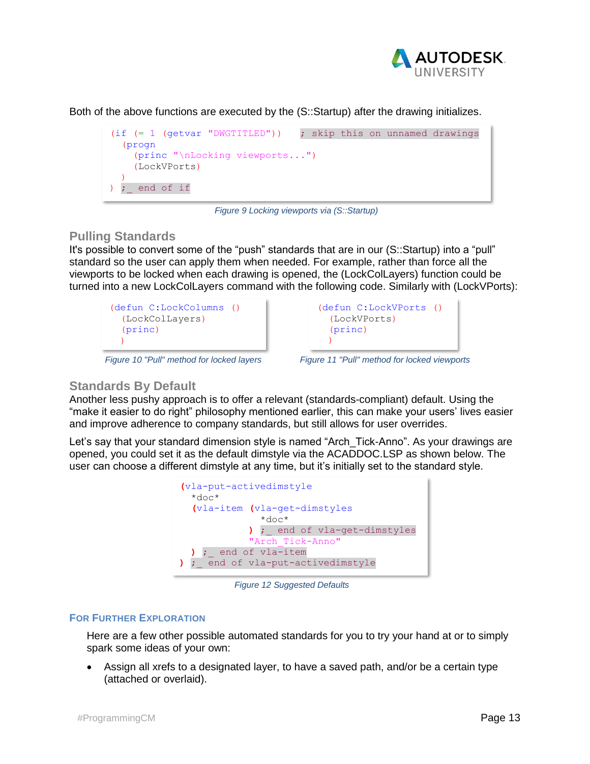

Both of the above functions are executed by the (S::Startup) after the drawing initializes.



*Figure 9 Locking viewports via (S::Startup)*

### **Pulling Standards**

It's possible to convert some of the "push" standards that are in our (S::Startup) into a "pull" standard so the user can apply them when needed. For example, rather than force all the viewports to be locked when each drawing is opened, the (LockColLayers) function could be turned into a new LockColLayers command with the following code. Similarly with (LockVPorts):

```
(defun C:LockColumns ()
   (LockColLayers)
   (princ)
  \lambda
```


*Figure 10 "Pull" method for locked layers Figure 11 "Pull" method for locked viewports*

### **Standards By Default**

Another less pushy approach is to offer a relevant (standards-compliant) default. Using the "make it easier to do right" philosophy mentioned earlier, this can make your users' lives easier and improve adherence to company standards, but still allows for user overrides.

Let's say that your standard dimension style is named "Arch Tick-Anno". As your drawings are opened, you could set it as the default dimstyle via the ACADDOC.LSP as shown below. The user can choose a different dimstyle at any time, but it's initially set to the standard style.



*Figure 12 Suggested Defaults*

### **FOR FURTHER EXPLORATION**

Here are a few other possible automated standards for you to try your hand at or to simply spark some ideas of your own:

• Assign all xrefs to a designated layer, to have a saved path, and/or be a certain type (attached or overlaid).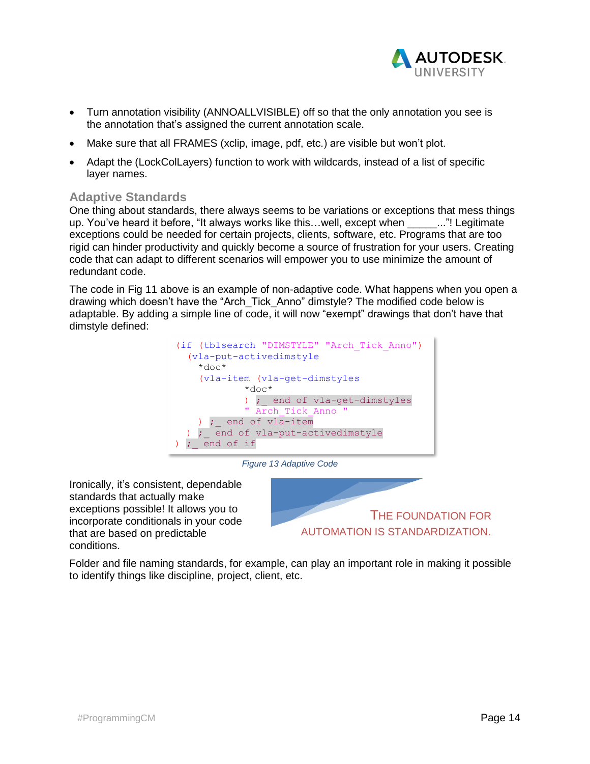

- Turn annotation visibility (ANNOALLVISIBLE) off so that the only annotation you see is the annotation that's assigned the current annotation scale.
- Make sure that all FRAMES (xclip, image, pdf, etc.) are visible but won't plot.
- Adapt the (LockColLayers) function to work with wildcards, instead of a list of specific layer names.

### **Adaptive Standards**

One thing about standards, there always seems to be variations or exceptions that mess things up. You've heard it before, "It always works like this...well, except when \_\_\_\_\_..."! Legitimate exceptions could be needed for certain projects, clients, software, etc. Programs that are too rigid can hinder productivity and quickly become a source of frustration for your users. Creating code that can adapt to different scenarios will empower you to use minimize the amount of redundant code.

The code in Fig 11 above is an example of non-adaptive code. What happens when you open a drawing which doesn't have the "Arch\_Tick\_Anno" dimstyle? The modified code below is adaptable. By adding a simple line of code, it will now "exempt" drawings that don't have that dimstyle defined:



*Figure 13 Adaptive Code*

Ironically, it's consistent, dependable standards that actually make exceptions possible! It allows you to incorporate conditionals in your code that are based on predictable conditions.



Folder and file naming standards, for example, can play an important role in making it possible to identify things like discipline, project, client, etc.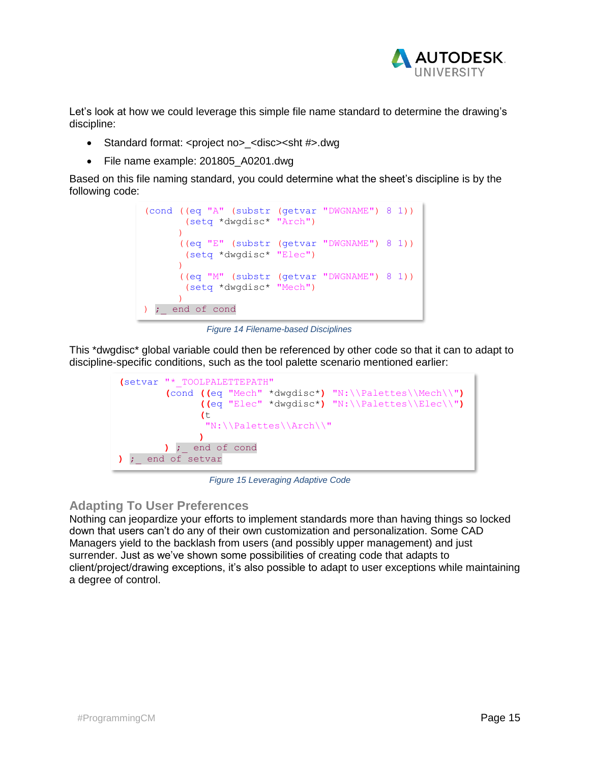

Let's look at how we could leverage this simple file name standard to determine the drawing's discipline:

- Standard format: <project no> <disc><sht #>.dwg
- File name example: 201805 A0201.dwg

Based on this file naming standard, you could determine what the sheet's discipline is by the following code:



*Figure 14 Filename-based Disciplines*

This \*dwgdisc\* global variable could then be referenced by other code so that it can to adapt to discipline-specific conditions, such as the tool palette scenario mentioned earlier:



*Figure 15 Leveraging Adaptive Code*

### **Adapting To User Preferences**

Nothing can jeopardize your efforts to implement standards more than having things so locked down that users can't do any of their own customization and personalization. Some CAD Managers yield to the backlash from users (and possibly upper management) and just surrender. Just as we've shown some possibilities of creating code that adapts to client/project/drawing exceptions, it's also possible to adapt to user exceptions while maintaining a degree of control.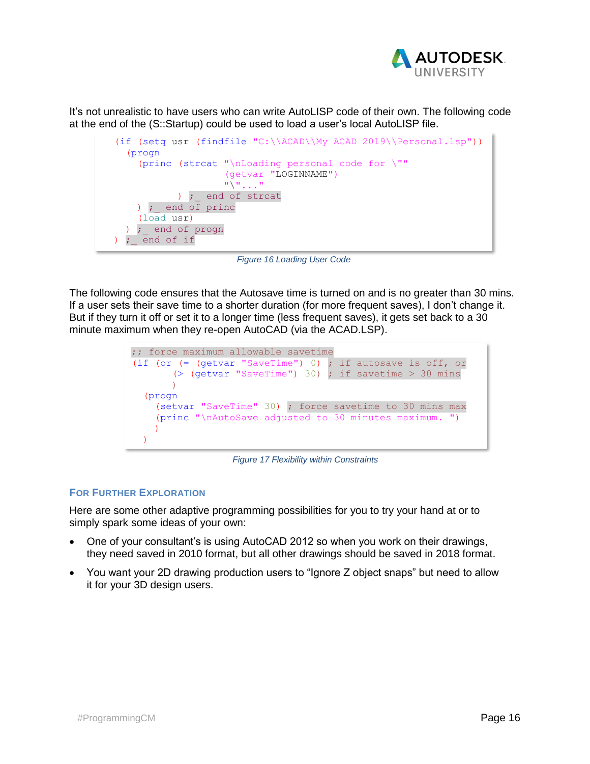

It's not unrealistic to have users who can write AutoLISP code of their own. The following code at the end of the (S::Startup) could be used to load a user's local AutoLISP file.



*Figure 16 Loading User Code*

The following code ensures that the Autosave time is turned on and is no greater than 30 mins. If a user sets their save time to a shorter duration (for more frequent saves), I don't change it. But if they turn it off or set it to a longer time (less frequent saves), it gets set back to a 30 minute maximum when they re-open AutoCAD (via the ACAD.LSP).



*Figure 17 Flexibility within Constraints*

#### **FOR FURTHER EXPLORATION**

Here are some other adaptive programming possibilities for you to try your hand at or to simply spark some ideas of your own:

- One of your consultant's is using AutoCAD 2012 so when you work on their drawings, they need saved in 2010 format, but all other drawings should be saved in 2018 format.
- You want your 2D drawing production users to "Ignore Z object snaps" but need to allow it for your 3D design users.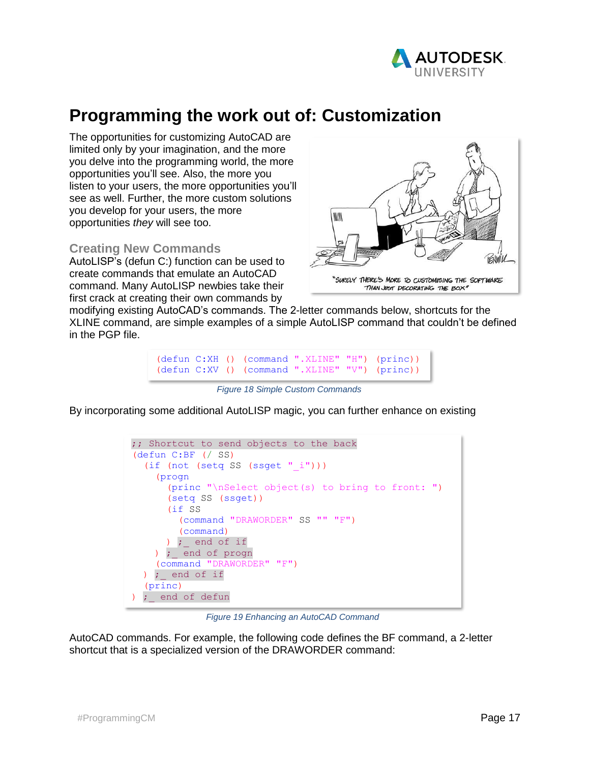

# **Programming the work out of: Customization**

The opportunities for customizing AutoCAD are limited only by your imagination, and the more you delve into the programming world, the more opportunities you'll see. Also, the more you listen to your users, the more opportunities you'll see as well. Further, the more custom solutions you develop for your users, the more opportunities *they* will see too.

### **Creating New Commands**

AutoLISP's (defun C:) function can be used to create commands that emulate an AutoCAD command. Many AutoLISP newbies take their first crack at creating their own commands by



modifying existing AutoCAD's commands. The 2-letter commands below, shortcuts for the XLINE command, are simple examples of a simple AutoLISP command that couldn't be defined in the PGP file.

(defun C:XH () (command ".XLINE" "H") (princ)) (defun C:XV () (command ".XLINE" "V") (princ))

*Figure 18 Simple Custom Commands*

By incorporating some additional AutoLISP magic, you can further enhance on existing

;; Shortcut to send objects to the back (defun C:BF (/ SS)  $(if (not (setq SS (ssget "i"))))$  (progn (princ "\nSelect object(s) to bring to front: ") (setq SS (ssget)) (if SS (command "DRAWORDER" SS "" "F") (command) ) ; end of if ) ; end of progn (command "DRAWORDER" "F") ) ; end of if (princ) ; end of defun

*Figure 19 Enhancing an AutoCAD Command*

AutoCAD commands. For example, the following code defines the BF command, a 2-letter shortcut that is a specialized version of the DRAWORDER command: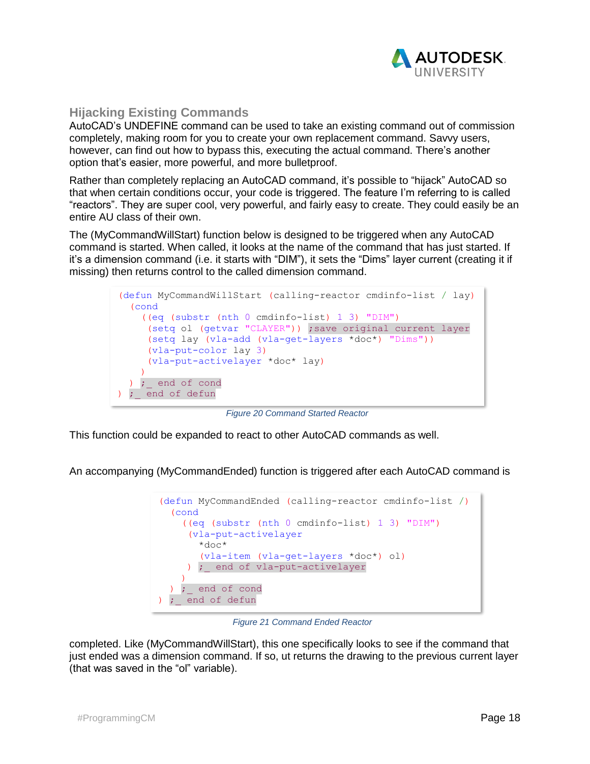

### **Hijacking Existing Commands**

AutoCAD's UNDEFINE command can be used to take an existing command out of commission completely, making room for you to create your own replacement command. Savvy users, however, can find out how to bypass this, executing the actual command. There's another option that's easier, more powerful, and more bulletproof.

Rather than completely replacing an AutoCAD command, it's possible to "hijack" AutoCAD so that when certain conditions occur, your code is triggered. The feature I'm referring to is called "reactors". They are super cool, very powerful, and fairly easy to create. They could easily be an entire AU class of their own.

The (MyCommandWillStart) function below is designed to be triggered when any AutoCAD command is started. When called, it looks at the name of the command that has just started. If it's a dimension command (i.e. it starts with "DIM"), it sets the "Dims" layer current (creating it if missing) then returns control to the called dimension command.



*Figure 20 Command Started Reactor*

This function could be expanded to react to other AutoCAD commands as well.

An accompanying (MyCommandEnded) function is triggered after each AutoCAD command is



*Figure 21 Command Ended Reactor*

completed. Like (MyCommandWillStart), this one specifically looks to see if the command that just ended was a dimension command. If so, ut returns the drawing to the previous current layer (that was saved in the "ol" variable).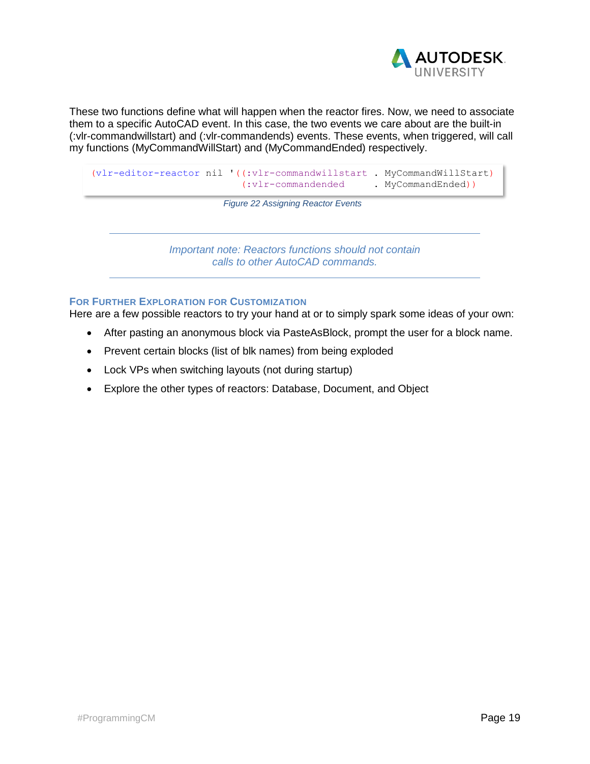

These two functions define what will happen when the reactor fires. Now, we need to associate them to a specific AutoCAD event. In this case, the two events we care about are the built-in (:vlr-commandwillstart) and (:vlr-commandends) events. These events, when triggered, will call my functions (MyCommandWillStart) and (MyCommandEnded) respectively.

```
(vlr-editor-reactor nil '((:vlr-commandwillstart . MyCommandWillStart)
                          (:vlr-commandended . MyCommandEnded))
```
*Figure 22 Assigning Reactor Events*

*Important note: Reactors functions should not contain calls to other AutoCAD commands.*

#### **FOR FURTHER EXPLORATION FOR CUSTOMIZATION**

Here are a few possible reactors to try your hand at or to simply spark some ideas of your own:

- After pasting an anonymous block via PasteAsBlock, prompt the user for a block name.
- Prevent certain blocks (list of blk names) from being exploded
- Lock VPs when switching layouts (not during startup)
- Explore the other types of reactors: Database, Document, and Object